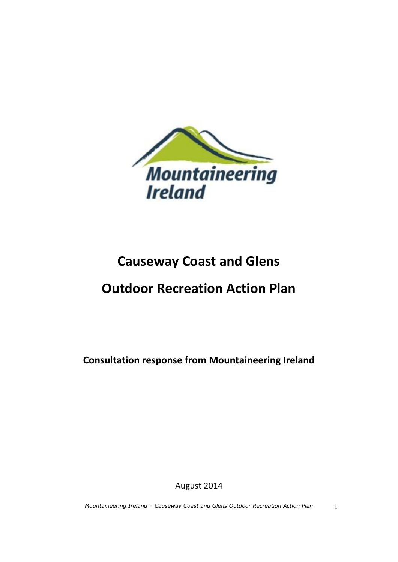

# **Causeway Coast and Glens**

# **Outdoor Recreation Action Plan**

**Consultation response from Mountaineering Ireland**

August 2014

*Mountaineering Ireland – Causeway Coast and Glens Outdoor Recreation Action Plan* 1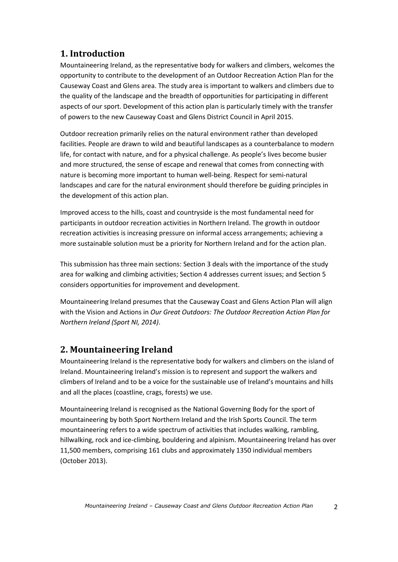# **1. Introduction**

Mountaineering Ireland, as the representative body for walkers and climbers, welcomes the opportunity to contribute to the development of an Outdoor Recreation Action Plan for the Causeway Coast and Glens area. The study area is important to walkers and climbers due to the quality of the landscape and the breadth of opportunities for participating in different aspects of our sport. Development of this action plan is particularly timely with the transfer of powers to the new Causeway Coast and Glens District Council in April 2015.

Outdoor recreation primarily relies on the natural environment rather than developed facilities. People are drawn to wild and beautiful landscapes as a counterbalance to modern life, for contact with nature, and for a physical challenge. As people's lives become busier and more structured, the sense of escape and renewal that comes from connecting with nature is becoming more important to human well-being. Respect for semi-natural landscapes and care for the natural environment should therefore be guiding principles in the development of this action plan.

Improved access to the hills, coast and countryside is the most fundamental need for participants in outdoor recreation activities in Northern Ireland. The growth in outdoor recreation activities is increasing pressure on informal access arrangements; achieving a more sustainable solution must be a priority for Northern Ireland and for the action plan.

This submission has three main sections: Section 3 deals with the importance of the study area for walking and climbing activities; Section 4 addresses current issues; and Section 5 considers opportunities for improvement and development.

Mountaineering Ireland presumes that the Causeway Coast and Glens Action Plan will align with the Vision and Actions in *Our Great Outdoors: The Outdoor Recreation Action Plan for Northern Ireland (Sport NI, 2014)*.

# **2. Mountaineering Ireland**

Mountaineering Ireland is the representative body for walkers and climbers on the island of Ireland. Mountaineering Ireland's mission is to represent and support the walkers and climbers of Ireland and to be a voice for the sustainable use of Ireland's mountains and hills and all the places (coastline, crags, forests) we use.

Mountaineering Ireland is recognised as the National Governing Body for the sport of mountaineering by both Sport Northern Ireland and the Irish Sports Council. The term mountaineering refers to a wide spectrum of activities that includes walking, rambling, hillwalking, rock and ice-climbing, bouldering and alpinism. Mountaineering Ireland has over 11,500 members, comprising 161 clubs and approximately 1350 individual members (October 2013).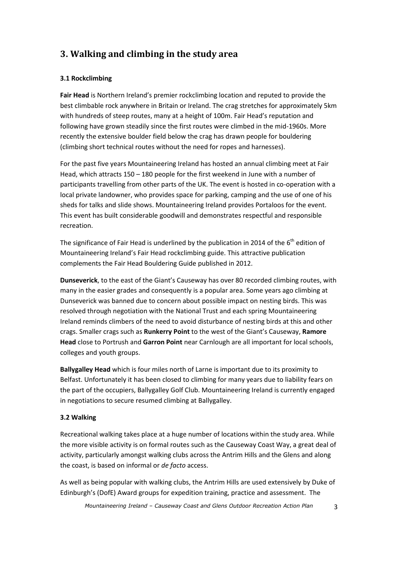# **3. Walking and climbing in the study area**

### **3.1 Rockclimbing**

**Fair Head** is Northern Ireland's premier rockclimbing location and reputed to provide the best climbable rock anywhere in Britain or Ireland. The crag stretches for approximately 5km with hundreds of steep routes, many at a height of 100m. Fair Head's reputation and following have grown steadily since the first routes were climbed in the mid-1960s. More recently the extensive boulder field below the crag has drawn people for bouldering (climbing short technical routes without the need for ropes and harnesses).

For the past five years Mountaineering Ireland has hosted an annual climbing meet at Fair Head, which attracts 150 – 180 people for the first weekend in June with a number of participants travelling from other parts of the UK. The event is hosted in co-operation with a local private landowner, who provides space for parking, camping and the use of one of his sheds for talks and slide shows. Mountaineering Ireland provides Portaloos for the event. This event has built considerable goodwill and demonstrates respectful and responsible recreation.

The significance of Fair Head is underlined by the publication in 2014 of the  $6^{th}$  edition of Mountaineering Ireland's Fair Head rockclimbing guide. This attractive publication complements the Fair Head Bouldering Guide published in 2012.

**Dunseverick**, to the east of the Giant's Causeway has over 80 recorded climbing routes, with many in the easier grades and consequently is a popular area. Some years ago climbing at Dunseverick was banned due to concern about possible impact on nesting birds. This was resolved through negotiation with the National Trust and each spring Mountaineering Ireland reminds climbers of the need to avoid disturbance of nesting birds at this and other crags. Smaller crags such as **Runkerry Point** to the west of the Giant's Causeway, **Ramore Head** close to Portrush and **Garron Point** near Carnlough are all important for local schools, colleges and youth groups.

**Ballygalley Head** which is four miles north of Larne is important due to its proximity to Belfast. Unfortunately it has been closed to climbing for many years due to liability fears on the part of the occupiers, Ballygalley Golf Club. Mountaineering Ireland is currently engaged in negotiations to secure resumed climbing at Ballygalley.

### **3.2 Walking**

Recreational walking takes place at a huge number of locations within the study area. While the more visible activity is on formal routes such as the Causeway Coast Way, a great deal of activity, particularly amongst walking clubs across the Antrim Hills and the Glens and along the coast, is based on informal or *de facto* access.

As well as being popular with walking clubs, the Antrim Hills are used extensively by Duke of Edinburgh's (DofE) Award groups for expedition training, practice and assessment. The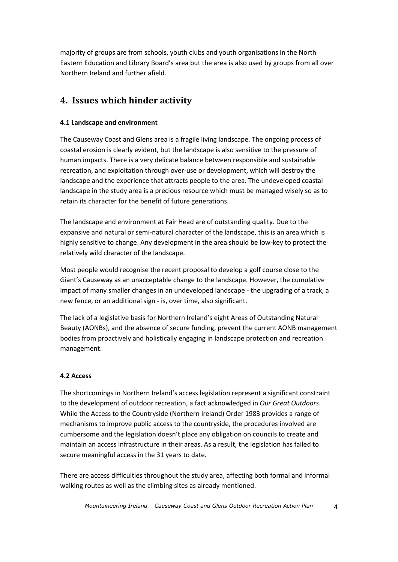majority of groups are from schools, youth clubs and youth organisations in the North Eastern Education and Library Board's area but the area is also used by groups from all over Northern Ireland and further afield.

## **4. Issues which hinder activity**

### **4.1 Landscape and environment**

The Causeway Coast and Glens area is a fragile living landscape. The ongoing process of coastal erosion is clearly evident, but the landscape is also sensitive to the pressure of human impacts. There is a very delicate balance between responsible and sustainable recreation, and exploitation through over-use or development, which will destroy the landscape and the experience that attracts people to the area. The undeveloped coastal landscape in the study area is a precious resource which must be managed wisely so as to retain its character for the benefit of future generations.

The landscape and environment at Fair Head are of outstanding quality. Due to the expansive and natural or semi-natural character of the landscape, this is an area which is highly sensitive to change. Any development in the area should be low-key to protect the relatively wild character of the landscape.

Most people would recognise the recent proposal to develop a golf course close to the Giant's Causeway as an unacceptable change to the landscape. However, the cumulative impact of many smaller changes in an undeveloped landscape - the upgrading of a track, a new fence, or an additional sign - is, over time, also significant.

The lack of a legislative basis for Northern Ireland's eight Areas of Outstanding Natural Beauty (AONBs), and the absence of secure funding, prevent the current AONB management bodies from proactively and holistically engaging in landscape protection and recreation management.

### **4.2 Access**

The shortcomings in Northern Ireland's access legislation represent a significant constraint to the development of outdoor recreation, a fact acknowledged in *Our Great Outdoors*. While the Access to the Countryside (Northern Ireland) Order 1983 provides a range of mechanisms to improve public access to the countryside, the procedures involved are cumbersome and the legislation doesn't place any obligation on councils to create and maintain an access infrastructure in their areas. As a result, the legislation has failed to secure meaningful access in the 31 years to date.

There are access difficulties throughout the study area, affecting both formal and informal walking routes as well as the climbing sites as already mentioned.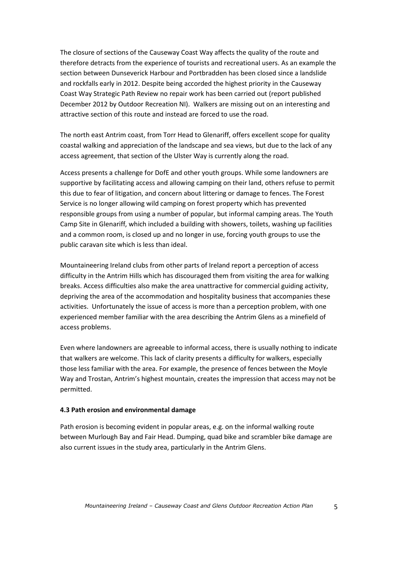The closure of sections of the Causeway Coast Way affects the quality of the route and therefore detracts from the experience of tourists and recreational users. As an example the section between Dunseverick Harbour and Portbradden has been closed since a landslide and rockfalls early in 2012. Despite being accorded the highest priority in the Causeway Coast Way Strategic Path Review no repair work has been carried out (report published December 2012 by Outdoor Recreation NI). Walkers are missing out on an interesting and attractive section of this route and instead are forced to use the road.

The north east Antrim coast, from Torr Head to Glenariff, offers excellent scope for quality coastal walking and appreciation of the landscape and sea views, but due to the lack of any access agreement, that section of the Ulster Way is currently along the road.

Access presents a challenge for DofE and other youth groups. While some landowners are supportive by facilitating access and allowing camping on their land, others refuse to permit this due to fear of litigation, and concern about littering or damage to fences. The Forest Service is no longer allowing wild camping on forest property which has prevented responsible groups from using a number of popular, but informal camping areas. The Youth Camp Site in Glenariff, which included a building with showers, toilets, washing up facilities and a common room, is closed up and no longer in use, forcing youth groups to use the public caravan site which is less than ideal.

Mountaineering Ireland clubs from other parts of Ireland report a perception of access difficulty in the Antrim Hills which has discouraged them from visiting the area for walking breaks. Access difficulties also make the area unattractive for commercial guiding activity, depriving the area of the accommodation and hospitality business that accompanies these activities. Unfortunately the issue of access is more than a perception problem, with one experienced member familiar with the area describing the Antrim Glens as a minefield of access problems.

Even where landowners are agreeable to informal access, there is usually nothing to indicate that walkers are welcome. This lack of clarity presents a difficulty for walkers, especially those less familiar with the area. For example, the presence of fences between the Moyle Way and Trostan, Antrim's highest mountain, creates the impression that access may not be permitted.

#### **4.3 Path erosion and environmental damage**

Path erosion is becoming evident in popular areas, e.g. on the informal walking route between Murlough Bay and Fair Head. Dumping, quad bike and scrambler bike damage are also current issues in the study area, particularly in the Antrim Glens.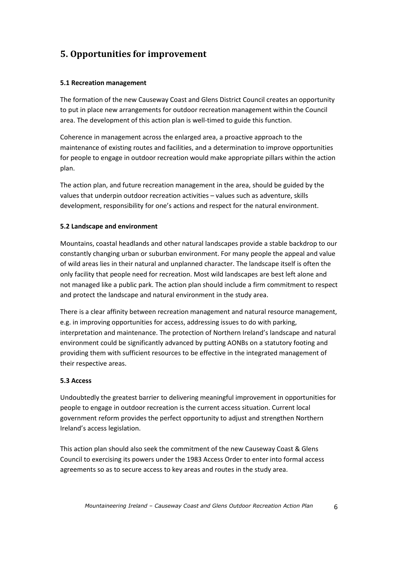# **5. Opportunities for improvement**

### **5.1 Recreation management**

The formation of the new Causeway Coast and Glens District Council creates an opportunity to put in place new arrangements for outdoor recreation management within the Council area. The development of this action plan is well-timed to guide this function.

Coherence in management across the enlarged area, a proactive approach to the maintenance of existing routes and facilities, and a determination to improve opportunities for people to engage in outdoor recreation would make appropriate pillars within the action plan.

The action plan, and future recreation management in the area, should be guided by the values that underpin outdoor recreation activities – values such as adventure, skills development, responsibility for one's actions and respect for the natural environment.

### **5.2 Landscape and environment**

Mountains, coastal headlands and other natural landscapes provide a stable backdrop to our constantly changing urban or suburban environment. For many people the appeal and value of wild areas lies in their natural and unplanned character. The landscape itself is often the only facility that people need for recreation. Most wild landscapes are best left alone and not managed like a public park. The action plan should include a firm commitment to respect and protect the landscape and natural environment in the study area.

There is a clear affinity between recreation management and natural resource management, e.g. in improving opportunities for access, addressing issues to do with parking, interpretation and maintenance. The protection of Northern Ireland's landscape and natural environment could be significantly advanced by putting AONBs on a statutory footing and providing them with sufficient resources to be effective in the integrated management of their respective areas.

#### **5.3 Access**

Undoubtedly the greatest barrier to delivering meaningful improvement in opportunities for people to engage in outdoor recreation is the current access situation. Current local government reform provides the perfect opportunity to adjust and strengthen Northern Ireland's access legislation.

This action plan should also seek the commitment of the new Causeway Coast & Glens Council to exercising its powers under the 1983 Access Order to enter into formal access agreements so as to secure access to key areas and routes in the study area.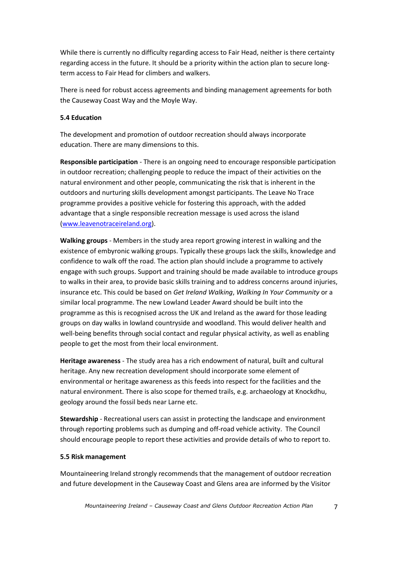While there is currently no difficulty regarding access to Fair Head, neither is there certainty regarding access in the future. It should be a priority within the action plan to secure longterm access to Fair Head for climbers and walkers.

There is need for robust access agreements and binding management agreements for both the Causeway Coast Way and the Moyle Way.

#### **5.4 Education**

The development and promotion of outdoor recreation should always incorporate education. There are many dimensions to this.

**Responsible participation** - There is an ongoing need to encourage responsible participation in outdoor recreation; challenging people to reduce the impact of their activities on the natural environment and other people, communicating the risk that is inherent in the outdoors and nurturing skills development amongst participants. The Leave No Trace programme provides a positive vehicle for fostering this approach, with the added advantage that a single responsible recreation message is used across the island [\(www.leavenotraceireland.org\)](http://www.leavenotraceireland.org/).

**Walking groups** - Members in the study area report growing interest in walking and the existence of embyronic walking groups. Typically these groups lack the skills, knowledge and confidence to walk off the road. The action plan should include a programme to actively engage with such groups. Support and training should be made available to introduce groups to walks in their area, to provide basic skills training and to address concerns around injuries, insurance etc. This could be based on *Get Ireland Walking*, *Walking In Your Community* or a similar local programme. The new Lowland Leader Award should be built into the programme as this is recognised across the UK and Ireland as the award for those leading groups on day walks in lowland countryside and woodland. This would deliver health and well-being benefits through social contact and regular physical activity, as well as enabling people to get the most from their local environment.

**Heritage awareness** - The study area has a rich endowment of natural, built and cultural heritage. Any new recreation development should incorporate some element of environmental or heritage awareness as this feeds into respect for the facilities and the natural environment. There is also scope for themed trails, e.g. archaeology at Knockdhu, geology around the fossil beds near Larne etc.

**Stewardship** - Recreational users can assist in protecting the landscape and environment through reporting problems such as dumping and off-road vehicle activity. The Council should encourage people to report these activities and provide details of who to report to.

#### **5.5 Risk management**

Mountaineering Ireland strongly recommends that the management of outdoor recreation and future development in the Causeway Coast and Glens area are informed by the Visitor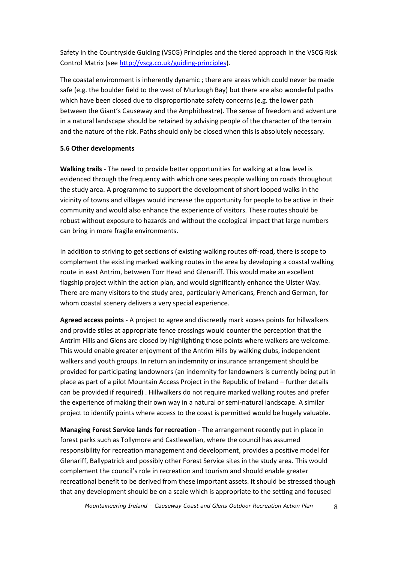Safety in the Countryside Guiding (VSCG) Principles and the tiered approach in the VSCG Risk Control Matrix (see [http://vscg.co.uk/guiding-principles\)](http://vscg.co.uk/guiding-principles).

The coastal environment is inherently dynamic ; there are areas which could never be made safe (e.g. the boulder field to the west of Murlough Bay) but there are also wonderful paths which have been closed due to disproportionate safety concerns (e.g. the lower path between the Giant's Causeway and the Amphitheatre). The sense of freedom and adventure in a natural landscape should be retained by advising people of the character of the terrain and the nature of the risk. Paths should only be closed when this is absolutely necessary.

#### **5.6 Other developments**

**Walking trails** - The need to provide better opportunities for walking at a low level is evidenced through the frequency with which one sees people walking on roads throughout the study area. A programme to support the development of short looped walks in the vicinity of towns and villages would increase the opportunity for people to be active in their community and would also enhance the experience of visitors. These routes should be robust without exposure to hazards and without the ecological impact that large numbers can bring in more fragile environments.

In addition to striving to get sections of existing walking routes off-road, there is scope to complement the existing marked walking routes in the area by developing a coastal walking route in east Antrim, between Torr Head and Glenariff. This would make an excellent flagship project within the action plan, and would significantly enhance the Ulster Way. There are many visitors to the study area, particularly Americans, French and German, for whom coastal scenery delivers a very special experience.

**Agreed access points** - A project to agree and discreetly mark access points for hillwalkers and provide stiles at appropriate fence crossings would counter the perception that the Antrim Hills and Glens are closed by highlighting those points where walkers are welcome. This would enable greater enjoyment of the Antrim Hills by walking clubs, independent walkers and youth groups. In return an indemnity or insurance arrangement should be provided for participating landowners (an indemnity for landowners is currently being put in place as part of a pilot Mountain Access Project in the Republic of Ireland – further details can be provided if required) . Hillwalkers do not require marked walking routes and prefer the experience of making their own way in a natural or semi-natural landscape. A similar project to identify points where access to the coast is permitted would be hugely valuable.

**Managing Forest Service lands for recreation** - The arrangement recently put in place in forest parks such as Tollymore and Castlewellan, where the council has assumed responsibility for recreation management and development, provides a positive model for Glenariff, Ballypatrick and possibly other Forest Service sites in the study area. This would complement the council's role in recreation and tourism and should enable greater recreational benefit to be derived from these important assets. It should be stressed though that any development should be on a scale which is appropriate to the setting and focused

*Mountaineering Ireland – Causeway Coast and Glens Outdoor Recreation Action Plan* 8